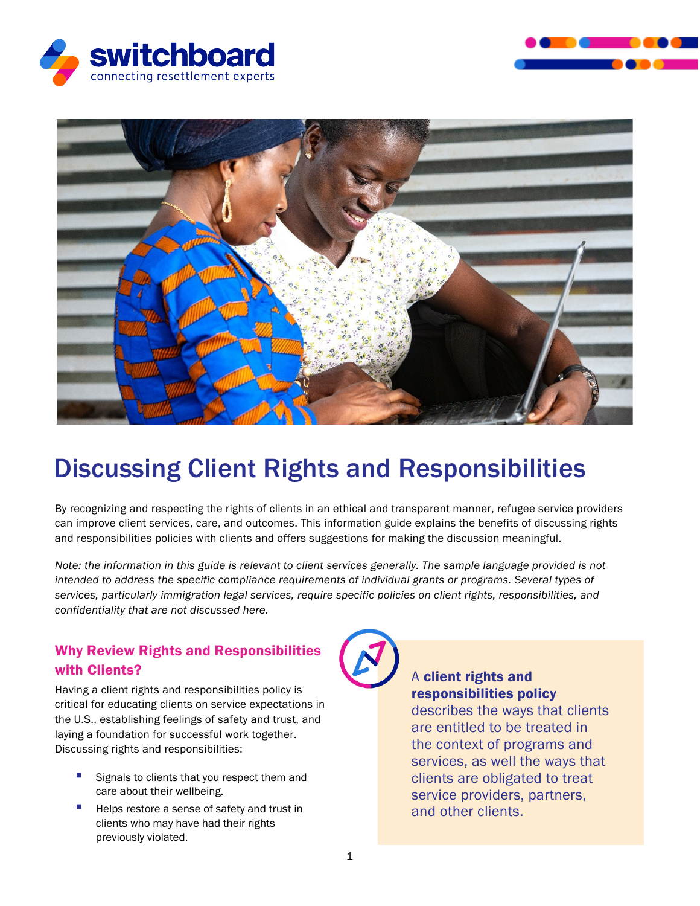





# Discussing Client Rights and Responsibilities

By recognizing and respecting the rights of clients in an ethical and transparent manner, refugee service providers can improve client services, care, and outcomes. This information guide explains the benefits of discussing rights and responsibilities policies with clients and offers suggestions for making the discussion meaningful.

*Note: the information in this guide is relevant to client services generally. The sample language provided is not intended to address the specific compliance requirements of individual grants or programs. Several types of services, particularly immigration legal services, require specific policies on client rights, responsibilities, and confidentiality that are not discussed here.*

## Why Review Rights and Responsibilities with Clients?

Having a client rights and responsibilities policy is critical for educating clients on service expectations in the U.S., establishing feelings of safety and trust, and laying a foundation for successful work together. Discussing rights and responsibilities:

- Signals to clients that you respect them and care about their wellbeing.
- Helps restore a sense of safety and trust in clients who may have had their rights previously violated.



# A client rights and responsibilities policy

describes the ways that clients are entitled to be treated in the context of programs and services, as well the ways that clients are obligated to treat service providers, partners, and other clients.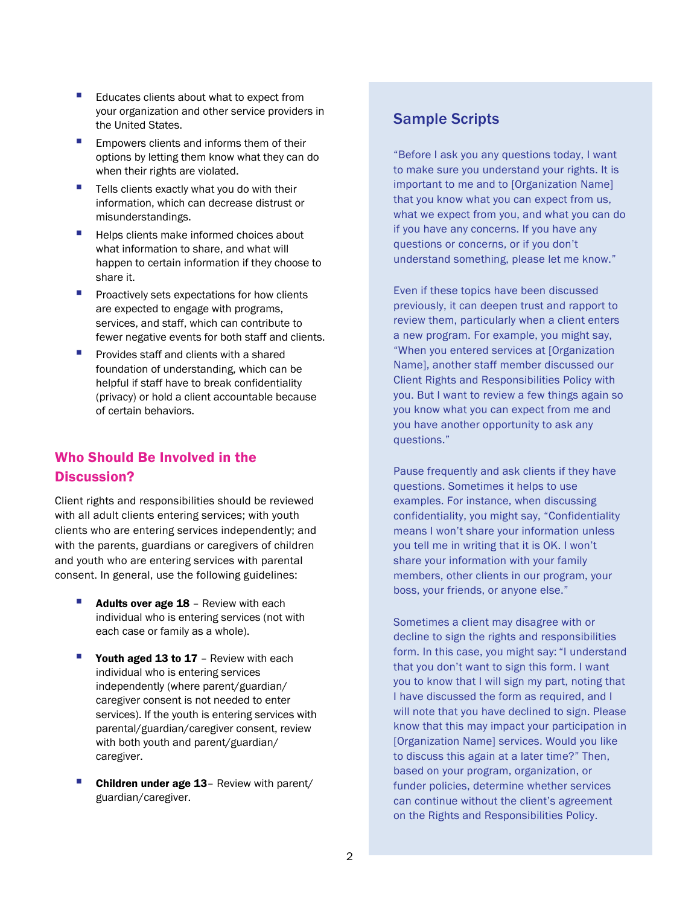- Educates clients about what to expect from your organization and other service providers in the United States.
- Empowers clients and informs them of their options by letting them know what they can do when their rights are violated.
- Tells clients exactly what you do with their information, which can decrease distrust or misunderstandings.
- Helps clients make informed choices about what information to share, and what will happen to certain information if they choose to share it.
- **Proactively sets expectations for how clients** are expected to engage with programs, services, and staff, which can contribute to fewer negative events for both staff and clients.
- Provides staff and clients with a shared foundation of understanding, which can be helpful if staff have to break confidentiality (privacy) or hold a client accountable because of certain behaviors.

### Who Should Be Involved in the Discussion?

Client rights and responsibilities should be reviewed with all adult clients entering services; with youth clients who are entering services independently; and with the parents, guardians or caregivers of children and youth who are entering services with parental consent. In general, use the following guidelines:

- Adults over age 18 Review with each individual who is entering services (not with each case or family as a whole).
- Youth aged 13 to 17 Review with each individual who is entering services independently (where parent/guardian/ caregiver consent is not needed to enter services). If the youth is entering services with parental/guardian/caregiver consent, review with both youth and parent/guardian/ caregiver.
- **Children under age 13** Review with parent/ guardian/caregiver.

## Sample Scripts

"Before I ask you any questions today, I want to make sure you understand your rights. It is important to me and to [Organization Name] that you know what you can expect from us, what we expect from you, and what you can do if you have any concerns. If you have any questions or concerns, or if you don't understand something, please let me know."

Even if these topics have been discussed previously, it can deepen trust and rapport to review them, particularly when a client enters a new program. For example, you might say, "When you entered services at [Organization Name], another staff member discussed our Client Rights and Responsibilities Policy with you. But I want to review a few things again so you know what you can expect from me and you have another opportunity to ask any questions."

Pause frequently and ask clients if they have questions. Sometimes it helps to use examples. For instance, when discussing confidentiality, you might say, "Confidentiality means I won't share your information unless you tell me in writing that it is OK. I won't share your information with your family members, other clients in our program, your boss, your friends, or anyone else."

Sometimes a client may disagree with or decline to sign the rights and responsibilities form. In this case, you might say: "I understand that you don't want to sign this form. I want you to know that I will sign my part, noting that I have discussed the form as required, and I will note that you have declined to sign. Please know that this may impact your participation in [Organization Name] services. Would you like to discuss this again at a later time?" Then, based on your program, organization, or funder policies, determine whether services can continue without the client's agreement on the Rights and Responsibilities Policy.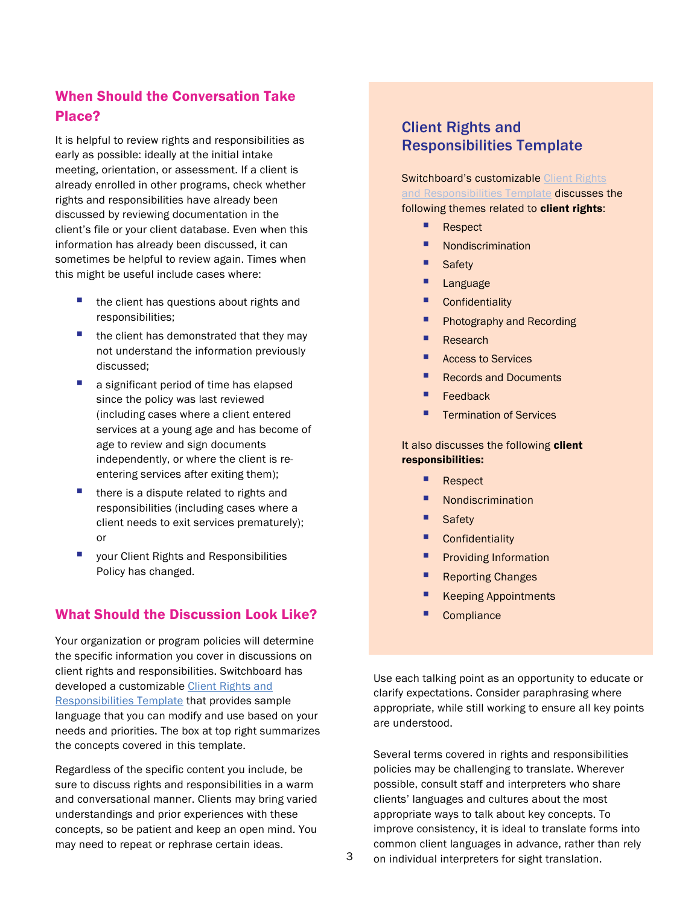## When Should the Conversation Take Place?

It is helpful to review rights and responsibilities as early as possible: ideally at the initial intake meeting, orientation, or assessment. If a client is already enrolled in other programs, check whether rights and responsibilities have already been discussed by reviewing documentation in the client's file or your client database. Even when this information has already been discussed, it can sometimes be helpful to review again. Times when this might be useful include cases where:

- **the client has questions about rights and** responsibilities;
- the client has demonstrated that they may not understand the information previously discussed;
- **a** a significant period of time has elapsed since the policy was last reviewed (including cases where a client entered services at a young age and has become of age to review and sign documents independently, or where the client is reentering services after exiting them);
- $\blacksquare$  there is a dispute related to rights and responsibilities (including cases where a client needs to exit services prematurely); or
- **U** your Client Rights and Responsibilities Policy has changed.

#### What Should the Discussion Look Like?

Your organization or program policies will determine the specific information you cover in discussions on client rights and responsibilities. Switchboard has developed a customizable [Client Rights and](https://switchboardta.org/wp-content/uploads/2022/02/Switchboard-Template-Rights-and-Responsibilities.docx)  [Responsibilities Template](https://switchboardta.org/wp-content/uploads/2022/02/Switchboard-Template-Rights-and-Responsibilities.docx) that provides sample language that you can modify and use based on your needs and priorities. The box at top right summarizes the concepts covered in this template.

Regardless of the specific content you include, be sure to discuss rights and responsibilities in a warm and conversational manner. Clients may bring varied understandings and prior experiences with these concepts, so be patient and keep an open mind. You may need to repeat or rephrase certain ideas.

## Client Rights and Responsibilities Template

**Switchboard's customizable Client Rights** [and Responsibilities](https://switchboardta.org/wp-content/uploads/2022/02/Switchboard-Template-Rights-and-Responsibilities.docx) Template discusses the following themes related to client rights:

- **Respect**
- **Nondiscrimination**
- **Safety**
- **Language**
- **Confidentiality**
- **Photography and Recording**
- **Research**
- **Access to Services**
- Records and Documents
- $\blacksquare$  Feedback
- **Termination of Services**

#### It also discusses the following client responsibilities:

- Respect
- Nondiscrimination
- **Safety**
- **Confidentiality**
- Providing Information
- **Reporting Changes**
- **Keeping Appointments**
- **Compliance**

Use each talking point as an opportunity to educate or clarify expectations. Consider paraphrasing where appropriate, while still working to ensure all key points are understood.

Several terms covered in rights and responsibilities policies may be challenging to translate. Wherever possible, consult staff and interpreters who share clients' languages and cultures about the most appropriate ways to talk about key concepts. To improve consistency, it is ideal to translate forms into common client languages in advance, rather than rely on individual interpreters for sight translation.